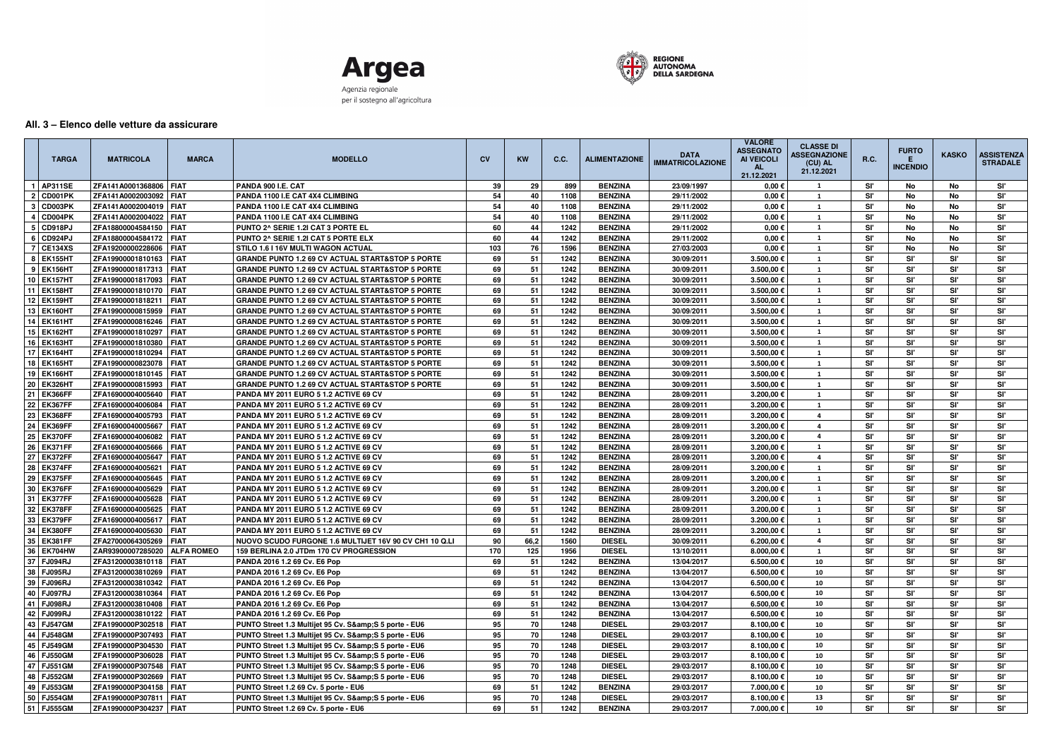



## **All. 3 – Elenco delle vetture da assicurare**

| <b>TARGA</b> | <b>MATRICOLA</b>         | <b>MARCA</b>      | <b>MODELLO</b>                                              | <b>CV</b> | <b>KW</b>  | C.C. | <b>ALIMENTAZIONE</b> | <b>DATA</b><br><b>IMMATRICOLAZIONE</b> | <b>VALORE</b><br><b>ASSEGNATC</b><br><b>AI VEICOLI</b><br>21.12.2021 | <b>CLASSE DI</b><br><b>ASSEGNAZIONE</b><br>(CU) AL<br>21.12.2021 | <b>R.C.</b> | <b>FURTO</b><br><b>INCENDIO</b> | <b>KASKO</b> | <b>ASSISTENZA</b><br><b>STRADALE</b> |
|--------------|--------------------------|-------------------|-------------------------------------------------------------|-----------|------------|------|----------------------|----------------------------------------|----------------------------------------------------------------------|------------------------------------------------------------------|-------------|---------------------------------|--------------|--------------------------------------|
| 1   AP311SE  | ZFA141A0001368806        | <b>FIAT</b>       | PANDA 900 I.E. CAT                                          | 39        | 29         | 899  | <b>BENZINA</b>       | 23/09/1997                             | $0,00 \in$                                                           | 1                                                                | Sľ          | No                              | No           | Sľ'                                  |
| 2   CD001PK  | ZFA141A0002003092        | <b>FIAT</b>       | PANDA 1100 I.E CAT 4X4 CLIMBING                             | 54        | 40         | 1108 | <b>BENZINA</b>       | 29/11/2002                             | $0.00 \in$                                                           | 1                                                                | Sľ          | No                              | No           | Sľ'                                  |
| CD003PK      | ZFA141A0002004019        | <b>FIAT</b>       | PANDA 1100 I.E CAT 4X4 CLIMBING                             | 54        | 40         | 1108 | <b>BENZINA</b>       | 29/11/2002                             | $0.00 \in$                                                           | 1                                                                | Sľ          | No                              | No           | Sľ'                                  |
| 4 CD004PK    | ZFA141A0002004022        | <b>FIAT</b>       | PANDA 1100 I.E CAT 4X4 CLIMBING                             | 54        | 40         | 1108 | <b>BENZINA</b>       | 29/11/2002                             | $0.00 \in$                                                           | 1                                                                | Sľ          | No                              | No           | Sľ'                                  |
| 5   CD918PJ  | ZFA18800004584150        | <b>FIAT</b>       | PUNTO 2^ SERIE 1.2I CAT 3 PORTE EL                          | 60        | 44         | 1242 | <b>BENZINA</b>       | 29/11/2002                             | 0,00 $\epsilon$                                                      | -1                                                               | Sľ          | No                              | No           | Sľ'                                  |
| 6 CD924PJ    | ZFA18800004584172        | <b>FIAT</b>       | PUNTO 2^ SERIE 1.2I CAT 5 PORTE ELX                         | 60        | 44         | 1242 | <b>BENZINA</b>       | 29/11/2002                             | $0,00 \in$                                                           | 1                                                                | Sľ          | No                              | No           | Sľ'                                  |
| 7 CE134XS    | ZFA19200000228606        | <b>FIAT</b>       | STILO 1.6 I 16V MULTI WAGON ACTUAL                          | 103       | 76         | 1596 | <b>BENZINA</b>       | 27/03/2003                             | $0,00 \in$                                                           | $\mathbf{1}$                                                     | Sľ          | No                              | No           | Sľ'                                  |
| 8   EK155HT  | ZFA19900001810163        | I FIAT            | <b>GRANDE PUNTO 1.2 69 CV ACTUAL START&amp;STOP 5 PORTE</b> | 69        | 51         | 1242 | <b>BENZINA</b>       | 30/09/2011                             | 3.500,00 €                                                           | 1                                                                | Sľ          | Sľ                              | Sľ'          | Sľ'                                  |
| 9   EK156HT  | ZFA19900001817313        | FIAT              | <b>GRANDE PUNTO 1.2 69 CV ACTUAL START&amp;STOP 5 PORTE</b> | 69        | 51         | 1242 | <b>BENZINA</b>       | 30/09/2011                             | 3.500,00 €                                                           | 1                                                                | Sľ          | Sľ'                             | Sľ'          | Sľ'                                  |
| 10   EK157HT | ZFA19900001817093        | FIAT              | <b>GRANDE PUNTO 1.2 69 CV ACTUAL START&amp;STOP 5 PORTE</b> | 69        | 51         | 1242 | <b>BENZINA</b>       | 30/09/2011                             | 3.500,00 €                                                           | <b>1</b>                                                         | Sľ          | Sľ'                             | Sľ'          | Sľ'                                  |
| 11 EK158HT   | ZFA19900001810170        | <b>FIAT</b>       | <b>GRANDE PUNTO 1.2 69 CV ACTUAL START&amp;STOP 5 PORTE</b> | 69        | 51         | 1242 | <b>BENZINA</b>       | 30/09/2011                             | 3.500,00 €                                                           | <b>1</b>                                                         | Sľ          | Sľ'                             | Sľ'          | Sľ'                                  |
| 12 EK159HT   | ZFA19900001818211        | <b>FIAT</b>       | <b>GRANDE PUNTO 1.2 69 CV ACTUAL START&amp;STOP 5 PORTE</b> | 69        | 51         | 1242 | <b>BENZINA</b>       | 30/09/2011                             | 3.500,00 €                                                           | 1                                                                | Sľ          | Sľ'                             | Sľ'          | Sľ'                                  |
| 13 EK160HT   | ZFA19900000815959        | <b>FIAT</b>       | <b>GRANDE PUNTO 1.2 69 CV ACTUAL START&amp;STOP 5 PORTE</b> | 69        | 51         | 1242 | <b>BENZINA</b>       | 30/09/2011                             | 3.500,00 €                                                           | 1                                                                | Sľ          | Sľ'                             | Sľ           | Sľ                                   |
| 14 EK161HT   | ZFA19900000816246        | <b>FIAT</b>       | <b>GRANDE PUNTO 1.2 69 CV ACTUAL START&amp;STOP 5 PORTE</b> | 69        | 51         | 1242 | <b>BENZINA</b>       | 30/09/2011                             | 3.500,00€                                                            | 1                                                                | Sľ          | Sľ'                             | Sľ'          | Sľ'                                  |
| 15 EK162HT   | ZFA19900001810297        | <b>FIAT</b>       | <b>GRANDE PUNTO 1.2 69 CV ACTUAL START&amp;STOP 5 PORTE</b> | 69        | 51         | 1242 | <b>BENZINA</b>       | 30/09/2011                             | 3.500,00 €                                                           | 1                                                                | Sľ          | Sľ'                             | Sľ'          | Sľ'                                  |
| 16 EK163HT   | ZFA19900001810380        | <b>FIAT</b>       | <b>GRANDE PUNTO 1.2 69 CV ACTUAL START&amp;STOP 5 PORTE</b> | 69        | 51         | 1242 | <b>BENZINA</b>       | 30/09/2011                             | 3.500,00€                                                            | <sup>1</sup>                                                     | Sľ          | Sľ'                             | Sľ'          | Sľ'                                  |
| 17 EK164HT   | ZFA19900001810294        | <b>FIAT</b>       | <b>GRANDE PUNTO 1.2 69 CV ACTUAL START&amp;STOP 5 PORTE</b> | 69        | 51         | 1242 | <b>BENZINA</b>       | 30/09/2011                             | 3.500,00 €                                                           | 1                                                                | Sľ          | Sľ'                             | Sľ'          | Sľ'                                  |
| 18 EK165HT   | ZFA19900000823078        | <b>FIAT</b>       | <b>GRANDE PUNTO 1.2 69 CV ACTUAL START&amp;STOP 5 PORTE</b> | 69        | 51         | 1242 | <b>BENZINA</b>       | 30/09/2011                             | 3.500,00€                                                            | 1                                                                | Sľ          | Sľ'                             | Sľ'          | Sľ'                                  |
| 19   EK166HT | ZFA19900001810145        | <b>FIAT</b>       | <b>GRANDE PUNTO 1.2 69 CV ACTUAL START&amp;STOP 5 PORTE</b> | 69        | 51         | 1242 | <b>BENZINA</b>       | 30/09/2011                             | 3.500,00 €                                                           | -1                                                               | Sľ          | Sľ'                             | Sľ'          | Sľ'                                  |
| 20   EK326HT | ZFA19900000815993        | <b>FIAT</b>       | <b>GRANDE PUNTO 1.2 69 CV ACTUAL START&amp;STOP 5 PORTE</b> | 69        | 51         | 1242 | <b>BENZINA</b>       | 30/09/2011                             | 3.500,00 €                                                           | 1                                                                | Sľ          | Sľ'                             | Sľ'          | Sľ'                                  |
| 21 EK366FF   | ZFA16900004005640        | <b>FIAT</b>       | <b>PANDA MY 2011 EURO 5 1.2 ACTIVE 69 CV</b>                | 69        | 51         | 1242 | <b>BENZINA</b>       | 28/09/2011                             | 3.200,00 €                                                           | 1                                                                | Sľ          | Sľ'                             | Sľ'          | Sľ'                                  |
| 22 EK367FF   | ZFA16900004006084        | <b>FIAT</b>       | <b>PANDA MY 2011 EURO 5 1.2 ACTIVE 69 CV</b>                | 69        | 51         | 1242 | <b>BENZINA</b>       | 28/09/2011                             | 3.200,00€                                                            | <b>1</b>                                                         | Sľ          | Sľ'                             | Sľ'          | Sľ.                                  |
| 23 EK368FF   | ZFA16900004005793        | <b>FIAT</b>       | <b>PANDA MY 2011 EURO 5 1.2 ACTIVE 69 CV</b>                | 69        | 51         | 1242 | <b>BENZINA</b>       | 28/09/2011                             | 3.200,00 €                                                           | 4                                                                | Sľ          | Sľ'                             | Sľ'          | Sľ.                                  |
| 24 EK369FF   | ZFA16900040005667        | <b>FIAT</b>       | <b>PANDA MY 2011 EURO 5 1.2 ACTIVE 69 CV</b>                | 69        | 51         | 1242 | <b>BENZINA</b>       | 28/09/2011                             | 3.200,00 €                                                           | 4                                                                | Sľ          | Sľ'                             | Sľ'          | Sľ.                                  |
| 25   EK370FF | ZFA16900004006082        | <b>FIAT</b>       | <b>PANDA MY 2011 EURO 5 1.2 ACTIVE 69 CV</b>                | 69        | 51         | 1242 | <b>BENZINA</b>       | 28/09/2011                             | 3.200,00 €                                                           | 4                                                                | Sľ          | Sľ'                             | 'SI          | Sľ.                                  |
| 26 EK371FF   | ZFA16900004005666        | <b>FIAT</b>       | <b>PANDA MY 2011 EURO 5 1.2 ACTIVE 69 CV</b>                | 69        | 51         | 1242 | <b>BENZINA</b>       | 28/09/2011                             | 3.200,00€                                                            | $\mathbf{1}$                                                     | Sľ          | Sľ'                             | Sľ'          | Sľ'                                  |
| 27 EK372FF   | ZFA16900004005647        | <b>FIAT</b>       | <b>PANDA MY 2011 EURO 5 1.2 ACTIVE 69 CV</b>                | 69        | 51         | 1242 | <b>BENZINA</b>       | 28/09/2011                             | 3.200,00 €                                                           | -4                                                               | Sľ.         | Sľ'                             | Sľ'          | Sľ'                                  |
| 28 EK374FF   | ZFA16900004005621        | <b>FIAT</b>       | <b>PANDA MY 2011 EURO 5 1.2 ACTIVE 69 CV</b>                | 69        | 51         | 1242 | <b>BENZINA</b>       | 28/09/2011                             | 3.200,00€                                                            | 1                                                                | Sľ          | Sľ'                             | SI'          | Sľ'                                  |
| 29 EK375FF   | ZFA16900004005645        | <b>FIAT</b>       | PANDA MY 2011 EURO 5 1.2 ACTIVE 69 CV                       | 69        | 51         | 1242 | <b>BENZINA</b>       | 28/09/2011                             | 3.200,00 €                                                           | 1                                                                | Sľ          | Sľ'                             | Sľ'          | Sľ'                                  |
| 30 EK376FF   | ZFA16900004005629        | <b>FIAT</b>       | PANDA MY 2011 EURO 5 1.2 ACTIVE 69 CV                       | 69        | 51         | 1242 | <b>BENZINA</b>       | 28/09/2011                             | 3.200,00€                                                            | 1                                                                | Sľ'         | Sľ'                             | SI'          | Sľ'                                  |
| 31   EK377FF | ZFA16900004005628        | <b>FIAT</b>       | <b>PANDA MY 2011 EURO 5 1.2 ACTIVE 69 CV</b>                | 69        | 51         | 1242 | <b>BENZINA</b>       | 28/09/2011                             | 3.200,00 €                                                           | 1                                                                | Sľ          | Sľ                              | Sľ'          | Sľ'                                  |
| 32   EK378FF | ZFA16900004005625        | <b>FIAT</b>       | <b>PANDA MY 2011 EURO 5 1.2 ACTIVE 69 CV</b>                | 69        | 51         | 1242 | <b>BENZINA</b>       | 28/09/2011                             | 3.200,00 €                                                           | 1                                                                | Sľ          | Sľ                              | Sľ'          | Sľ'                                  |
| 33 EK379FF   | ZFA16900004005617        | <b>FIAT</b>       | <b>PANDA MY 2011 EURO 5 1.2 ACTIVE 69 CV</b>                | 69        | 51         | 1242 | <b>BENZINA</b>       | 28/09/2011                             | 3.200,00 €                                                           | 1                                                                | Sľ.         | Sľ'                             | 'SI          | Sľ'                                  |
| 34 EK380FF   | ZFA16900004005630        | <b>FIAT</b>       | <b>PANDA MY 2011 EURO 5 1.2 ACTIVE 69 CV</b>                | 69        | 51         | 1242 | <b>BENZINA</b>       | 28/09/2011                             | 3.200,00 €                                                           | 1                                                                | Sľ          | Sľ                              | SI'          | Sľ'                                  |
| 35 EK381FF   | ZFA27000064305269   FIAT |                   | NUOVO SCUDO FURGONE 1.6 MULTIJET 16V 90 CV CH1 10 Q.LI      | 90        | 66,2       | 1560 | <b>DIESEL</b>        | 30/09/2011                             | 6.200,00 €                                                           | 4                                                                | Sľ          | Sľ'                             | Sľ'          | Sľ'                                  |
| 36 EK704HW   | ZAR93900007285020        | <b>ALFA ROMEO</b> | 159 BERLINA 2.0 JTDm 170 CV PROGRESSION                     | 170       | 125        | 1956 | <b>DIESEL</b>        | 13/10/2011                             | 8.000,00€                                                            | $\mathbf{1}$                                                     | Sľ          | Sľ                              | Sľ'          | Sľ                                   |
| 37   FJ094RJ | ZFA31200003810118   FIAT |                   | PANDA 2016 1.2 69 Cv. E6 Pop                                | 69        | 51         | 1242 | <b>BENZINA</b>       | 13/04/2017                             | 6.500,00 €                                                           | 10                                                               | Sľ          | Sľ                              | SI'          | Sľ'                                  |
| 38   FJ095RJ | ZFA31200003810269 FIAT   |                   | PANDA 2016 1.2 69 Cv. E6 Pop                                | 69        | 51         | 1242 | <b>BENZINA</b>       | 13/04/2017                             | 6.500,00€                                                            | 10                                                               | Sľ          | Sľ'                             | Sľ'          | Sľ'                                  |
| 39 FJ096RJ   | ZFA31200003810342   FIAT |                   | PANDA 2016 1.2 69 Cv. E6 Pop                                | 69        | 51         | 1242 | <b>BENZINA</b>       | 13/04/2017                             | 6.500,00 €                                                           | 10                                                               | Sľ'         | Sľ'                             | Sľ'          | Sľ'                                  |
| 40   FJ097RJ | ZFA31200003810364   FIAT |                   | PANDA 2016 1.2 69 Cv. E6 Pop                                | 69        | 51         | 1242 | <b>BENZINA</b>       | 13/04/2017                             | 6.500,00€                                                            | 10                                                               | Sľ          | Sľ'                             | SI'          | Sľ'                                  |
| 41 FJ098RJ   | ZFA31200003810408   FIAT |                   | PANDA 2016 1.2 69 Cv. E6 Pop                                | 69        | 51         | 1242 | <b>BENZINA</b>       | 13/04/2017                             | 6.500,00 €                                                           | 10                                                               | Sľ          | Sľ                              | Sľ'          | Sľ'                                  |
| 42 FJ099RJ   | ZFA31200003810122   FIAT |                   | PANDA 2016 1.2 69 Cv. E6 Pop                                | 69        | 51         | 1242 | <b>BENZINA</b>       | 13/04/2017                             | 6.500,00 €                                                           | 10                                                               | Sľ          | Sľ                              | SI'          | Sľ'                                  |
| 43   FJ547GM | ZFA1990000P302518   FIAT |                   | PUNTO Street 1.3 Multijet 95 Cv. S&S 5 porte - EU6          | 95        | 70         | 1248 | <b>DIESEL</b>        | 29/03/2017                             | 8.100,00 €                                                           | 10                                                               | Sľ          | Sľ'                             | Sľ'          | Sľ'                                  |
| 44   FJ548GM | ZFA1990000P307493 FIAT   |                   | PUNTO Street 1.3 Multijet 95 Cv. S&S 5 porte - EU6          | 95        | 70         | 1248 | <b>DIESEL</b>        | 29/03/2017                             | 8.100,00 €                                                           | 10                                                               | Sľ          | Sľ                              | Sľ'          | Sľ'                                  |
| 45   FJ549GM | ZFA1990000P304530 FIAT   |                   | PUNTO Street 1.3 Multijet 95 Cv. S&S 5 porte - EU6          | 95        | 70         | 1248 | <b>DIESEL</b>        | 29/03/2017                             | 8.100,00 €                                                           | 10                                                               | Sľ.         | Sľ'                             | Sľ'          | Sľ'                                  |
| 46   FJ550GM | ZFA1990000P306028   FIAT |                   | PUNTO Street 1.3 Multijet 95 Cv. S&S 5 porte - EU6          | 95        | 70         | 1248 | <b>DIESEL</b>        | 29/03/2017                             | 8.100,00 €                                                           | 10                                                               | Sľ          | Sľ                              | Sľ'          | Sľ'                                  |
| 47 FJ551GM   | ZFA1990000P307548 FIAT   |                   | PUNTO Street 1.3 Multijet 95 Cv. S&S 5 porte - EU6          | 95        | ${\bf 70}$ | 1248 | <b>DIESEL</b>        | 29/03/2017                             | 8.100,00 €                                                           | 10                                                               | Sľ          | Sľ                              | Sľ'          | Sľ.                                  |
| 48   FJ552GM | ZFA1990000P302669   FIAT |                   | PUNTO Street 1.3 Multijet 95 Cv. S&S 5 porte - EU6          | 95        | 70         | 1248 | <b>DIESEL</b>        | 29/03/2017                             | 8.100,00 €                                                           | 10                                                               | Sľ          | Sľ                              | Sľ'          | Sľ'                                  |
| 49   FJ553GM | ZFA1990000P304158   FIAT |                   | PUNTO Street 1.2 69 Cv. 5 porte - EU6                       | 69        | 51         | 1242 | <b>BENZINA</b>       | 29/03/2017                             | 7.000,00 €                                                           | 10                                                               | Sľ          | Sľ'                             | Sľ'          | Sľ.                                  |
| 50   FJ554GM | ZFA1990000P307811   FIAT |                   | PUNTO Street 1.3 Multijet 95 Cv. S&S 5 porte - EU6          | 95        | ${\bf 70}$ | 1248 | <b>DIESEL</b>        | 29/03/2017                             | 8.100,00€                                                            | 13                                                               | Sľ          | Sľ                              | Sľ           | Sľ                                   |
| 51   FJ555GM | ZFA1990000P304237   FIAT |                   | PUNTO Street 1.2 69 Cv. 5 porte - EU6                       | 69        | 51         | 1242 | <b>BENZINA</b>       | 29/03/2017                             | 7.000,00 €                                                           | 10                                                               | SI'         | Sľ                              | Sľ           | Sľ                                   |